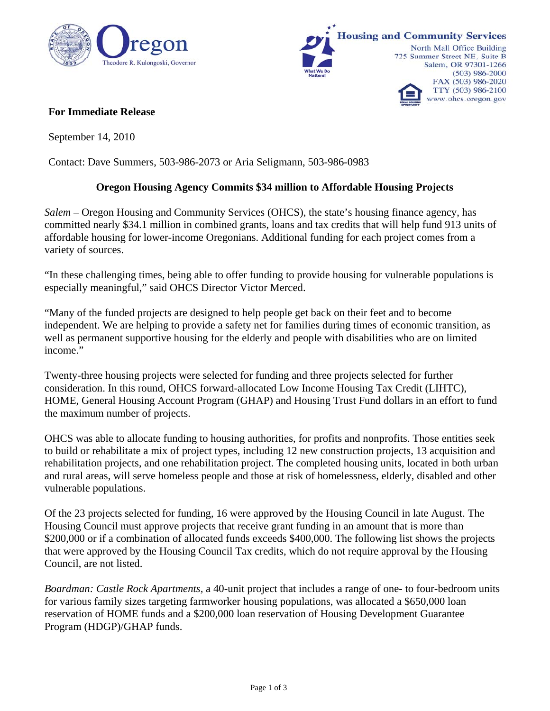



## **For Immediate Release**

September 14, 2010

Contact: Dave Summers, 503-986-2073 or Aria Seligmann, 503-986-0983

## **Oregon Housing Agency Commits \$34 million to Affordable Housing Projects**

*Salem* – Oregon Housing and Community Services (OHCS), the state's housing finance agency, has committed nearly \$34.1 million in combined grants, loans and tax credits that will help fund 913 units of affordable housing for lower-income Oregonians. Additional funding for each project comes from a variety of sources.

"In these challenging times, being able to offer funding to provide housing for vulnerable populations is especially meaningful," said OHCS Director Victor Merced.

"Many of the funded projects are designed to help people get back on their feet and to become independent. We are helping to provide a safety net for families during times of economic transition, as well as permanent supportive housing for the elderly and people with disabilities who are on limited income."

Twenty-three housing projects were selected for funding and three projects selected for further consideration. In this round, OHCS forward-allocated Low Income Housing Tax Credit (LIHTC), HOME, General Housing Account Program (GHAP) and Housing Trust Fund dollars in an effort to fund the maximum number of projects.

OHCS was able to allocate funding to housing authorities, for profits and nonprofits. Those entities seek to build or rehabilitate a mix of project types, including 12 new construction projects, 13 acquisition and rehabilitation projects, and one rehabilitation project. The completed housing units, located in both urban and rural areas, will serve homeless people and those at risk of homelessness, elderly, disabled and other vulnerable populations.

Of the 23 projects selected for funding, 16 were approved by the Housing Council in late August. The Housing Council must approve projects that receive grant funding in an amount that is more than \$200,000 or if a combination of allocated funds exceeds \$400,000. The following list shows the projects that were approved by the Housing Council Tax credits, which do not require approval by the Housing Council, are not listed.

*Boardman: Castle Rock Apartments,* a 40-unit project that includes a range of one- to four-bedroom units for various family sizes targeting farmworker housing populations, was allocated a \$650,000 loan reservation of HOME funds and a \$200,000 loan reservation of Housing Development Guarantee Program (HDGP)/GHAP funds.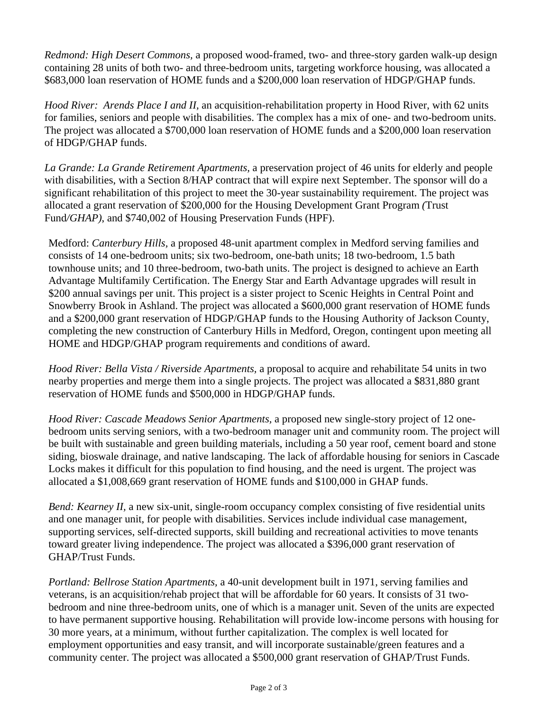*Redmond: High Desert Commons,* a proposed wood-framed, two- and three-story garden walk-up design containing 28 units of both two- and three-bedroom units, targeting workforce housing, was allocated a \$683,000 loan reservation of HOME funds and a \$200,000 loan reservation of HDGP/GHAP funds.

*Hood River: Arends Place I and II,* an acquisition-rehabilitation property in Hood River, with 62 units for families, seniors and people with disabilities. The complex has a mix of one- and two-bedroom units. The project was allocated a \$700,000 loan reservation of HOME funds and a \$200,000 loan reservation of HDGP/GHAP funds.

*La Grande: La Grande Retirement Apartments,* a preservation project of 46 units for elderly and people with disabilities, with a Section 8/HAP contract that will expire next September. The sponsor will do a significant rehabilitation of this project to meet the 30-year sustainability requirement. The project was allocated a grant reservation of \$200,000 for the Housing Development Grant Program *(*Trust Fund*/GHAP)*, and \$740,002 of Housing Preservation Funds (HPF).

Medford: *Canterbury Hills,* a proposed 48-unit apartment complex in Medford serving families and consists of 14 one-bedroom units; six two-bedroom, one-bath units; 18 two-bedroom, 1.5 bath townhouse units; and 10 three-bedroom, two-bath units. The project is designed to achieve an Earth Advantage Multifamily Certification. The Energy Star and Earth Advantage upgrades will result in \$200 annual savings per unit. This project is a sister project to Scenic Heights in Central Point and Snowberry Brook in Ashland. The project was allocated a \$600,000 grant reservation of HOME funds and a \$200,000 grant reservation of HDGP/GHAP funds to the Housing Authority of Jackson County, completing the new construction of Canterbury Hills in Medford, Oregon, contingent upon meeting all HOME and HDGP/GHAP program requirements and conditions of award.

*Hood River: Bella Vista / Riverside Apartments,* a proposal to acquire and rehabilitate 54 units in two nearby properties and merge them into a single projects. The project was allocated a \$831,880 grant reservation of HOME funds and \$500,000 in HDGP/GHAP funds.

*Hood River: Cascade Meadows Senior Apartments,* a proposed new single-story project of 12 onebedroom units serving seniors, with a two-bedroom manager unit and community room. The project will be built with sustainable and green building materials, including a 50 year roof, cement board and stone siding, bioswale drainage, and native landscaping. The lack of affordable housing for seniors in Cascade Locks makes it difficult for this population to find housing, and the need is urgent. The project was allocated a \$1,008,669 grant reservation of HOME funds and \$100,000 in GHAP funds.

*Bend: Kearney II, a new six-unit, single-room occupancy complex consisting of five residential units* and one manager unit, for people with disabilities. Services include individual case management, supporting services, self-directed supports, skill building and recreational activities to move tenants toward greater living independence. The project was allocated a \$396,000 grant reservation of GHAP/Trust Funds.

*Portland: Bellrose Station Apartments,* a 40-unit development built in 1971, serving families and veterans, is an acquisition/rehab project that will be affordable for 60 years. It consists of 31 twobedroom and nine three-bedroom units, one of which is a manager unit. Seven of the units are expected to have permanent supportive housing. Rehabilitation will provide low-income persons with housing for 30 more years, at a minimum, without further capitalization. The complex is well located for employment opportunities and easy transit, and will incorporate sustainable/green features and a community center. The project was allocated a \$500,000 grant reservation of GHAP/Trust Funds.